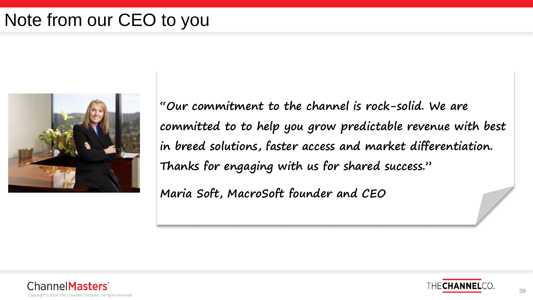## Note from our CEO to you



**"Our commitment to the channel is rock-solid. We are committed to to help you grow predictable revenue with best in breed solutions, faster access and market differentiation. Thanks for engaging with us for shared success."**

**Maria Soft, MacroSoft founder and CEO**



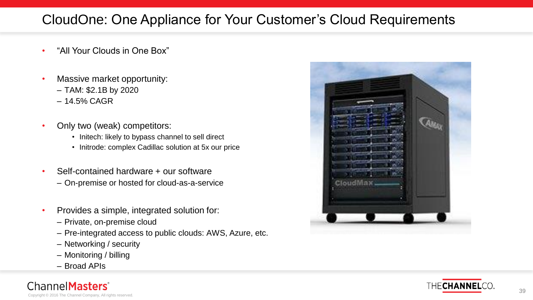#### CloudOne: One Appliance for Your Customer's Cloud Requirements

- "All Your Clouds in One Box"
- Massive market opportunity:
	- TAM: \$2.1B by 2020
	- 14.5% CAGR
- Only two (weak) competitors:
	- Initech: likely to bypass channel to sell direct
	- Initrode: complex Cadillac solution at 5x our price
- Self-contained hardware + our software
	- On-premise or hosted for cloud-as-a-service
- Provides a simple, integrated solution for:
	- Private, on-premise cloud
	- Pre-integrated access to public clouds: AWS, Azure, etc.
	- Networking / security
	- Monitoring / billing
	- Broad APIs

Copyright © 2016 The Channel Company, All rights reserved.

Channel**Masters** 



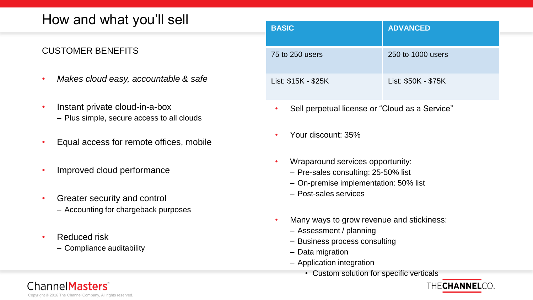#### How and what you'll sell

#### CUSTOMER BENEFITS

- *Makes cloud easy, accountable & safe*
- Instant private cloud-in-a-box – Plus simple, secure access to all clouds
- Equal access for remote offices, mobile
- Improved cloud performance
- Greater security and control – Accounting for chargeback purposes
- Reduced risk
	- Compliance auditability

| <b>BASIC</b>        | <b>ADVANCED</b>     |
|---------------------|---------------------|
| 75 to 250 users     | 250 to 1000 users   |
| List: \$15K - \$25K | List: \$50K - \$75K |

- Sell perpetual license or "Cloud as a Service"
- Your discount: 35%
- Wraparound services opportunity:
	- Pre-sales consulting: 25-50% list
	- On-premise implementation: 50% list
	- Post-sales services
- Many ways to grow revenue and stickiness:
	- Assessment / planning
	- Business process consulting
	- Data migration
	- Application integration
		- Custom solution for specific verticals



Copyright © 2016 The Channel Company, All rights reserved.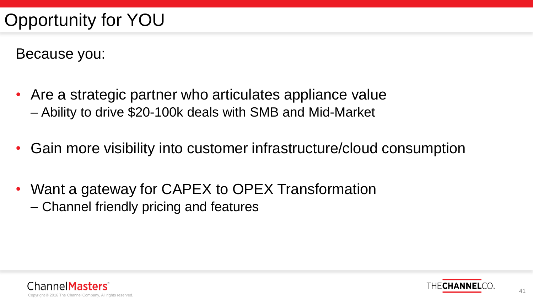Because you:

- Are a strategic partner who articulates appliance value – Ability to drive \$20-100k deals with SMB and Mid-Market
- Gain more visibility into customer infrastructure/cloud consumption
- Want a gateway for CAPEX to OPEX Transformation – Channel friendly pricing and features



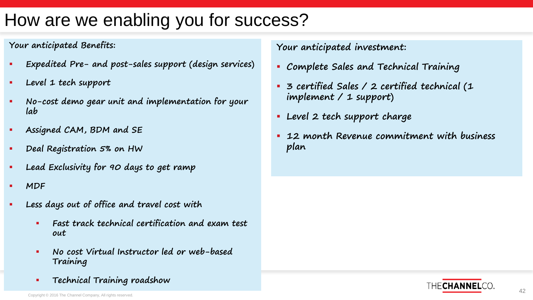# How are we enabling you for success?

#### **Your anticipated Benefits:**

- **Expedited Pre- and post-sales support (design services)**
- **Level 1 tech support**
- **No-cost demo gear unit and implementation for your lab**
- **Assigned CAM, BDM and SE**
- **Paal Registration 5% on HW**
- **Lead Exclusivity for 90 days to get ramp**
- **MDF**
- **Less days out of office and travel cost with** 
	- **Fast track technical certification and exam test out**
	- **No cost Virtual Instructor led or web-based Training**
	- **Technical Training roadshow**

**Your anticipated investment:**

- **Complete Sales and Technical Training**
- **3 certified Sales / 2 certified technical (1 implement / 1 support)**
- **Level 2 tech support charge**
- **12 month Revenue commitment with business plan**

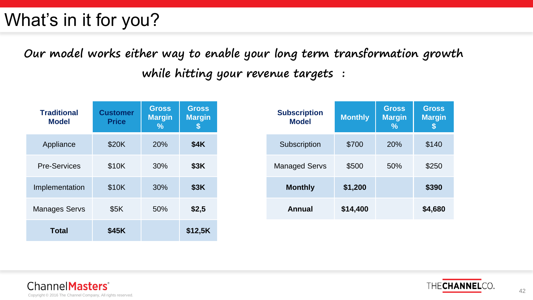# What's in it for you?

### **Our model works either way to enable your long term transformation growth while hitting your revenue targets :**

| <b>Traditional</b><br><b>Model</b> | <b>Customer</b><br><b>Price</b> | <b>Gross</b><br><b>Margin</b><br>℅ | <b>Gross</b><br><b>Margin</b><br>S |
|------------------------------------|---------------------------------|------------------------------------|------------------------------------|
| Appliance                          | \$20K                           | <b>20%</b>                         | \$4K                               |
| <b>Pre-Services</b>                | \$10K                           | 30%                                | \$3K                               |
| Implementation                     | \$10K                           | 30%                                | \$3K                               |
| <b>Manages Servs</b>               | \$5K                            | 50%                                | \$2,5                              |
| <b>Total</b>                       | \$45K                           |                                    | \$12,5K                            |

| <b>Subscription</b><br><b>Model</b> | <b>Monthly</b> | <b>Gross</b><br><b>Margin</b><br>% | <b>Gross</b><br><b>Margin</b> |
|-------------------------------------|----------------|------------------------------------|-------------------------------|
| Subscription                        | \$700          | <b>20%</b>                         | \$140                         |
| <b>Managed Servs</b>                | \$500          | 50%                                | \$250                         |
| <b>Monthly</b>                      | \$1,200        |                                    | \$390                         |
| Annual                              | \$14,400       |                                    | \$4,680                       |



Channel Masters<sup>®</sup> Copyright © 2016 The Channel Company, All rights reserved.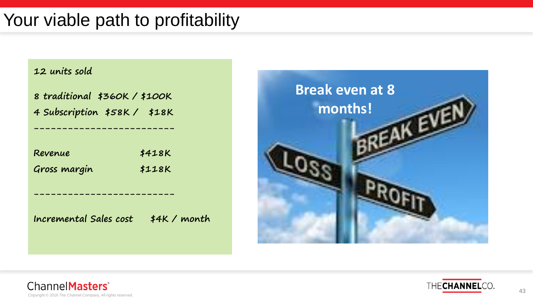## Your viable path to profitability

| 12 units sold                                               |              |
|-------------------------------------------------------------|--------------|
| 8 traditional \$360K/\$100K<br>4 Subscription \$58K / \$18K |              |
|                                                             |              |
| Revenue                                                     | \$418K       |
| Gross margin                                                | \$118K       |
|                                                             |              |
| Incremental Sales cost                                      | $$4K/$ month |
|                                                             |              |